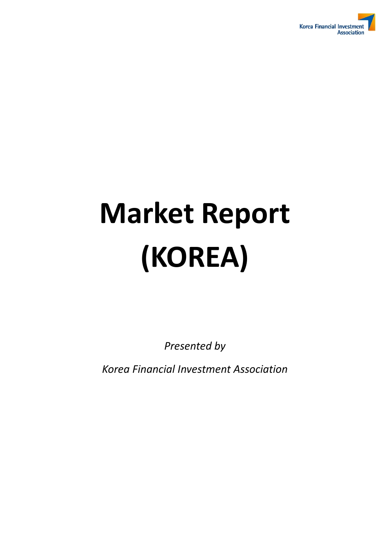

# **Market Report (KOREA)**

*Presented by* 

*Korea Financial Investment Association*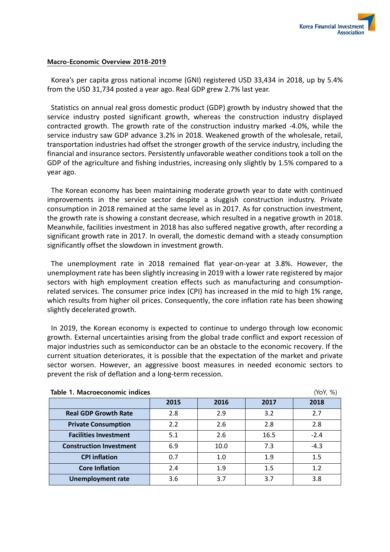

# **Macro-Economic Overview 2018-2019**

Korea's per capita gross national income (GNI) registered USD 33,434 in 2018, up by 5.4% from the USD 31,734 posted a year ago. Real GDP grew 2.7% last year.

Statistics on annual real gross domestic product (GDP) growth by industry showed that the service industry posted significant growth, whereas the construction industry displayed contracted growth. The growth rate of the construction industry marked -4.0%, while the service industry saw GDP advance 3.2% in 2018. Weakened growth of the wholesale, retail, transportation industries had offset the stronger growth of the service industry, including the financial and insurance sectors. Persistently unfavorable weather conditions took a toll on the GDP of the agriculture and fishing industries, increasing only slightly by 1.5% compared to a year ago.

The Korean economy has been maintaining moderate growth year to date with continued improvements in the service sector despite a sluggish construction industry. Private consumption in 2018 remained at the same level as in 2017. As for construction investment, the growth rate is showing a constant decrease, which resulted in a negative growth in 2018. Meanwhile, facilities investment in 2018 has also suffered negative growth, after recording a significant growth rate in 2017. In overall, the domestic demand with a steady consumption significantly offset the slowdown in investment growth.

The unemployment rate in 2018 remained flat year-on-year at 3.8%. However, the unemployment rate has been slightly increasing in 2019 with a lower rate registered by major sectors with high employment creation effects such as manufacturing and consumptionrelated services. The consumer price index (CPI) has increased in the mid to high 1% range, which results from higher oil prices. Consequently, the core inflation rate has been showing slightly decelerated growth.

In 2019, the Korean economy is expected to continue to undergo through low economic growth. External uncertainties arising from the global trade conflict and export recession of major industries such as semiconductor can be an obstacle to the economic recovery. If the current situation deteriorates, it is possible that the expectation of the market and private sector worsen. However, an aggressive boost measures in needed economic sectors to prevent the risk of deflation and a long-term recession.

| Table 1. Macroeconomic indices<br>(YoY, %) |      |      |      |        |  |  |
|--------------------------------------------|------|------|------|--------|--|--|
|                                            | 2015 | 2016 | 2017 | 2018   |  |  |
| <b>Real GDP Growth Rate</b>                | 2.8  | 2.9  | 3.2  | 2.7    |  |  |
| <b>Private Consumption</b>                 | 2.2  | 2.6  | 2.8  | 2.8    |  |  |
| <b>Facilities Investment</b>               | 5.1  | 2.6  | 16.5 | $-2.4$ |  |  |
| <b>Construction Investment</b>             | 6.9  | 10.0 | 7.3  | $-4.3$ |  |  |
| <b>CPI</b> inflation                       | 0.7  | 1.0  | 1.9  | 1.5    |  |  |
| <b>Core Inflation</b>                      | 2.4  | 1.9  | 1.5  | 1.2    |  |  |
| <b>Unemployment rate</b>                   | 3.6  | 3.7  | 3.7  | 3.8    |  |  |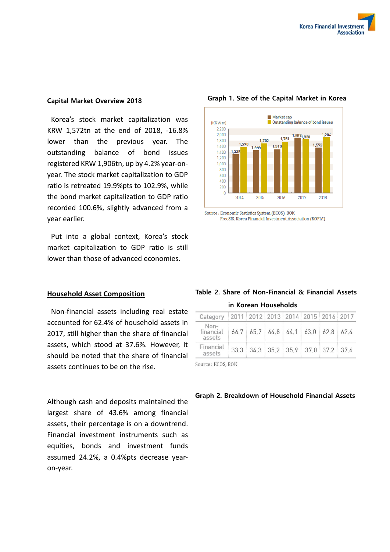# **Capital Market Overview 2018**

Korea's stock market capitalization was KRW 1,572tn at the end of 2018, -16.8% lower than the previous year. The outstanding balance of bond issues registered KRW 1,906tn, up by 4.2% year-onyear. The stock market capitalization to GDP ratio is retreated 19.9%pts to 102.9%, while the bond market capitalization to GDP ratio recorded 100.6%, slightly advanced from a year earlier.

Put into a global context, Korea's stock market capitalization to GDP ratio is still lower than those of advanced economies.

# **Household Asset Composition**

Non-financial assets including real estate accounted for 62.4% of household assets in 2017, still higher than the share of financial assets, which stood at 37.6%. However, it should be noted that the share of financial assets continues to be on the rise.

Although cash and deposits maintained the largest share of 43.6% among financial assets, their percentage is on a downtrend. Financial investment instruments such as equities, bonds and investment funds assumed 24.2%, a 0.4%pts decrease yearon-year.



# Source : Economic Statistics System (ECOS), BOK

### FreeSIS, Korea Financial Investment Association (KOFIA)

|  |  | Table 2. Share of Non-Financial & Financial Assets |  |  |
|--|--|----------------------------------------------------|--|--|
|  |  |                                                    |  |  |

| Category   2011   2012   2013   2014   2015   2016   2017 |                                                  |  |  |  |
|-----------------------------------------------------------|--------------------------------------------------|--|--|--|
| Non-<br>financial<br>assets                               | $66.7$ $65.7$ $64.8$ $64.1$ $63.0$ $62.8$ $62.4$ |  |  |  |
| Financial<br>assets                                       | 33.3 34.3 35.2 35.9 37.0 37.2 37.6               |  |  |  |

Source: ECOS, BOK

## **Graph 2. Breakdown of Household Financial Assets**

# **Graph 1. Size of the Capital Market in Korea**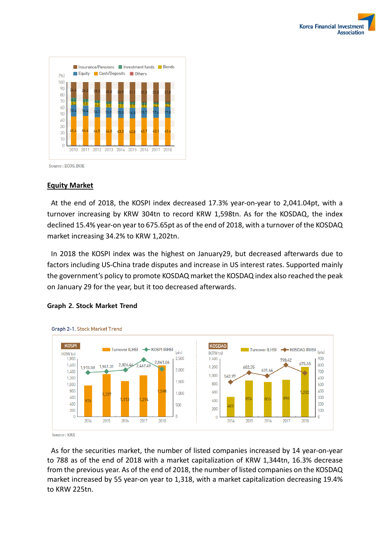



Source: ECOS, BOK

# **Equity Market**

At the end of 2018, the KOSPI index decreased 17.3% year-on-year to 2,041.04pt, with a turnover increasing by KRW 304tn to record KRW 1,598tn. As for the KOSDAQ, the index declined 15.4% year-on year to 675.65pt as of the end of 2018, with a turnover of the KOSDAQ market increasing 34.2% to KRW 1,202tn.

In 2018 the KOSPI index was the highest on January29, but decreased afterwards due to factors including US-China trade disputes and increase in US interest rates. Supported mainly the government's policy to promote KOSDAQ market the KOSDAQ index also reached the peak on January 29 for the year, but it too decreased afterwards.



## **Graph 2. Stock Market Trend**

Graph 2-1. Stock Market Trend

Source: KRX

As for the securities market, the number of listed companies increased by 14 year-on-year to 788 as of the end of 2018 with a market capitalization of KRW 1,344tn, 16.3% decrease from the previous year. As of the end of 2018, the number of listed companies on the KOSDAQ market increased by 55 year-on year to 1,318, with a market capitalization decreasing 19.4% to KRW 225tn.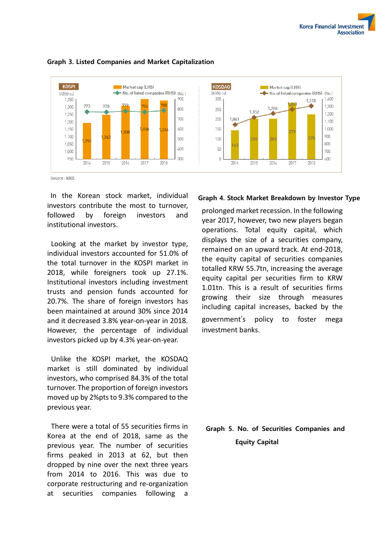

# **Graph 3. Listed Companies and Market Capitalization**

In the Korean stock market, individual investors contribute the most to turnover, followed by foreign investors and institutional investors.

Looking at the market by investor type, individual investors accounted for 51.0% of the total turnover in the KOSPI market in 2018, while foreigners took up 27.1%. Institutional investors including investment trusts and pension funds accounted for 20.7%. The share of foreign investors has been maintained at around 30% since 2014 and it decreased 3.8% year-on-year in 2018. However, the percentage of individual investors picked up by 4.3% year-on-year.

Unlike the KOSPI market, the KOSDAQ market is still dominated by individual investors, who comprised 84.3% of the total turnover. The proportion of foreign investors moved up by 2%pts to 9.3% compared to the previous year.

There were a total of 55 securities firms in Korea at the end of 2018, same as the previous year. The number of securities firms peaked in 2013 at 62, but then dropped by nine over the next three years from 2014 to 2016. This was due to corporate restructuring and re-organization at securities companies following a

# **Graph 4. Stock Market Breakdown by Investor Type**

prolonged market recession. In the following year 2017, however, two new players began operations. Total equity capital, which displays the size of a securities company, remained on an upward track. At end-2018, the equity capital of securities companies totalled KRW 55.7tn, increasing the average equity capital per securities firm to KRW 1.01tn. This is a result of securities firms growing their size through measures including capital increases, backed by the government's policy to foster mega investment banks.

**Graph 5. No. of Securities Companies and Equity Capital**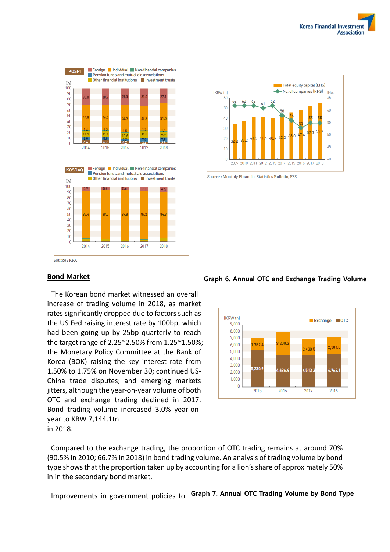



Source: Monthly Financial Statistics Bulletin, FSS

# **Bond Market**

The Korean bond market witnessed an overall increase of trading volume in 2018, as market rates significantly dropped due to factors such as the US Fed raising interest rate by 100bp, which had been going up by 25bp quarterly to reach the target range of 2.25~2.50% from 1.25~1.50%; the Monetary Policy Committee at the Bank of Korea (BOK) raising the key interest rate from 1.50% to 1.75% on November 30; continued US-China trade disputes; and emerging markets jitters, although the year-on-year volume of both OTC and exchange trading declined in 2017. Bond trading volume increased 3.0% year-onyear to KRW 7,144.1tn in 2018.

#### $[K$  RW to Exchange OTC  $9.000$  $8.000$  $7.000$  $200$  $6,000$  $762$  $23811$ 2430 5,000  $4000$  $3.000$  $230$ .686  $4.513$  $1.763.$  $2,000$ 1,000  $\mathbf{f}$ 2015 2016 2017 2018

Compared to the exchange trading, the proportion of OTC trading remains at around 70% (90.5% in 2010; 66.7% in 2018) in bond trading volume. An analysis of trading volume by bond type shows that the proportion taken up by accounting for a lion's share of approximately 50% in in the secondary bond market.

Improvements in government policies to **Graph 7. Annual OTC Trading Volume by Bond Type**

# **Graph 6. Annual OTC and Exchange Trading Volume**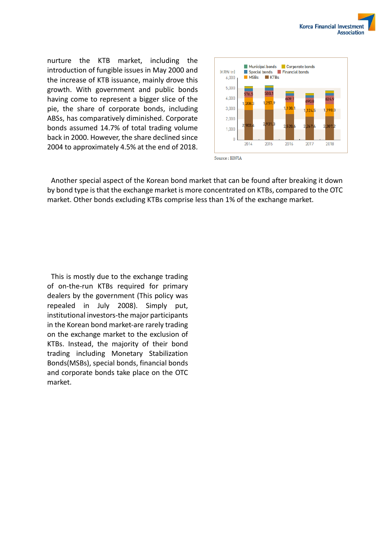

nurture the KTB market, including the introduction of fungible issues in May 2000 and the increase of KTB issuance, mainly drove this growth. With government and public bonds having come to represent a bigger slice of the pie, the share of corporate bonds, including ABSs, has comparatively diminished. Corporate bonds assumed 14.7% of total trading volume back in 2000. However, the share declined since 2004 to approximately 4.5% at the end of 2018.



Another special aspect of the Korean bond market that can be found after breaking it down by bond type is that the exchange market is more concentrated on KTBs, compared to the OTC market. Other bonds excluding KTBs comprise less than 1% of the exchange market.

This is mostly due to the exchange trading of on-the-run KTBs required for primary dealers by the government (This policy was repealed in July 2008). Simply put, institutional investors-the major participants in the Korean bond market-are rarely trading on the exchange market to the exclusion of KTBs. Instead, the majority of their bond trading including Monetary Stabilization Bonds(MSBs), special bonds, financial bonds and corporate bonds take place on the OTC market.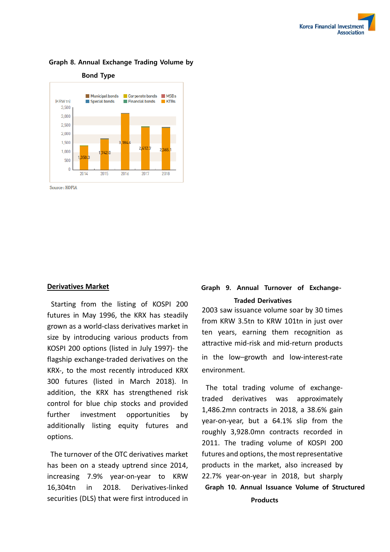

# **Graph 8. Annual Exchange Trading Volume by**

**Derivatives Market**

Starting from the listing of KOSPI 200 futures in May 1996, the KRX has steadily grown as a world-class derivatives market in size by introducing various products from KOSPI 200 options (listed in July 1997)- the flagship exchange-traded derivatives on the KRX-, to the most recently introduced KRX 300 futures (listed in March 2018). In addition, the KRX has strengthened risk control for blue chip stocks and provided further investment opportunities by additionally listing equity futures and options.

The turnover of the OTC derivatives market has been on a steady uptrend since 2014, increasing 7.9% year-on-year to KRW 16,304tn in 2018. Derivatives-linked securities (DLS) that were first introduced in

# **Graph 9. Annual Turnover of Exchange-Traded Derivatives**

2003 saw issuance volume soar by 30 times from KRW 3.5tn to KRW 101tn in just over ten years, earning them recognition as attractive mid-risk and mid-return products in the low–growth and low-interest-rate environment.

The total trading volume of exchangetraded derivatives was approximately 1,486.2mn contracts in 2018, a 38.6% gain year-on-year, but a 64.1% slip from the roughly 3,928.0mn contracts recorded in 2011. The trading volume of KOSPI 200 futures and options, the most representative products in the market, also increased by 22.7% year-on-year in 2018, but sharply **Graph 10. Annual Issuance Volume of Structured** 

**Products**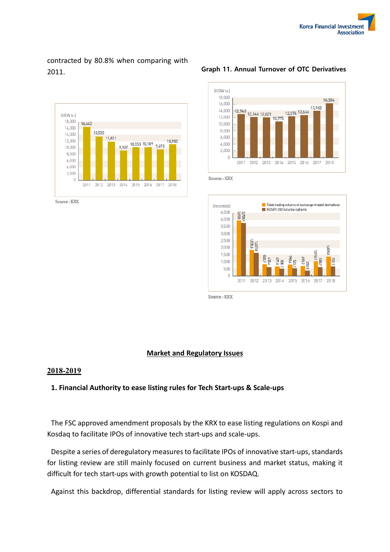# contracted by 80.8% when comparing with 2011.



Source : KRX

# **Graph 11. Annual Turnover of OTC Derivatives**



Source: KRX



Source: KRX

# **Market and Regulatory Issues**

# **2018-2019**

# **1. Financial Authority to ease listing rules for Tech Start-ups & Scale-ups**

The FSC approved amendment proposals by the KRX to ease listing regulations on Kospi and Kosdaq to facilitate IPOs of innovative tech start-ups and scale-ups.

Despite a series of deregulatory measures to facilitate IPOs of innovative start-ups, standards for listing review are still mainly focused on current business and market status, making it difficult for tech start-ups with growth potential to list on KOSDAQ.

Against this backdrop, differential standards for listing review will apply across sectors to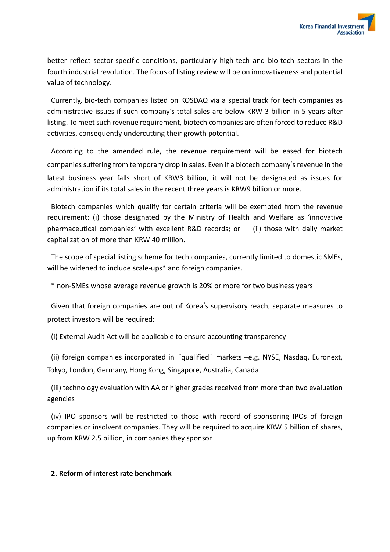better reflect sector-specific conditions, particularly high-tech and bio-tech sectors in the fourth industrial revolution. The focus of listing review will be on innovativeness and potential value of technology.

Currently, bio-tech companies listed on KOSDAQ via a special track for tech companies as administrative issues if such company's total sales are below KRW 3 billion in 5 years after listing. To meet such revenue requirement, biotech companies are often forced to reduce R&D activities, consequently undercutting their growth potential.

According to the amended rule, the revenue requirement will be eased for biotech companies suffering from temporary drop in sales. Even if a biotech company's revenue in the latest business year falls short of KRW3 billion, it will not be designated as issues for administration if its total sales in the recent three years is KRW9 billion or more.

Biotech companies which qualify for certain criteria will be exempted from the revenue requirement: (i) those designated by the Ministry of Health and Welfare as 'innovative pharmaceutical companies' with excellent R&D records; or (ii) those with daily market capitalization of more than KRW 40 million.

The scope of special listing scheme for tech companies, currently limited to domestic SMEs, will be widened to include scale-ups\* and foreign companies.

\* non-SMEs whose average revenue growth is 20% or more for two business years

Given that foreign companies are out of Korea's supervisory reach, separate measures to protect investors will be required:

(i) External Audit Act will be applicable to ensure accounting transparency

(ii) foreign companies incorporated in "qualified" markets –e.g. NYSE, Nasdaq, Euronext, Tokyo, London, Germany, Hong Kong, Singapore, Australia, Canada

(iii) technology evaluation with AA or higher grades received from more than two evaluation agencies

(iv) IPO sponsors will be restricted to those with record of sponsoring IPOs of foreign companies or insolvent companies. They will be required to acquire KRW 5 billion of shares, up from KRW 2.5 billion, in companies they sponsor.

# **2. Reform of interest rate benchmark**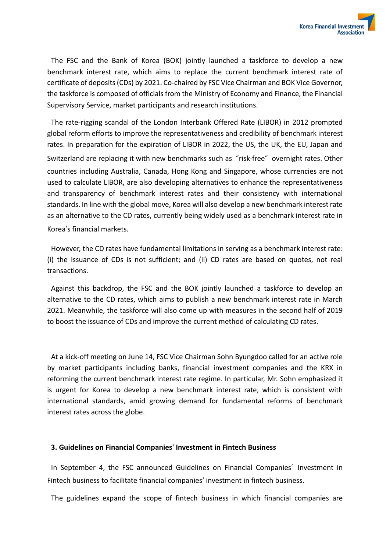

The FSC and the Bank of Korea (BOK) jointly launched a taskforce to develop a new benchmark interest rate, which aims to replace the current benchmark interest rate of certificate of deposits (CDs) by 2021. Co-chaired by FSC Vice Chairman and BOK Vice Governor, the taskforce is composed of officials from the Ministry of Economy and Finance, the Financial Supervisory Service, market participants and research institutions.

The rate-rigging scandal of the London Interbank Offered Rate (LIBOR) in 2012 prompted global reform efforts to improve the representativeness and credibility of benchmark interest rates. In preparation for the expiration of LIBOR in 2022, the US, the UK, the EU, Japan and Switzerland are replacing it with new benchmarks such as "risk-free" overnight rates. Other countries including Australia, Canada, Hong Kong and Singapore, whose currencies are not used to calculate LIBOR, are also developing alternatives to enhance the representativeness and transparency of benchmark interest rates and their consistency with international standards. In line with the global move, Korea will also develop a new benchmark interest rate as an alternative to the CD rates, currently being widely used as a benchmark interest rate in Korea's financial markets.

However, the CD rates have fundamental limitations in serving as a benchmark interest rate: (i) the issuance of CDs is not sufficient; and (ii) CD rates are based on quotes, not real transactions.

Against this backdrop, the FSC and the BOK jointly launched a taskforce to develop an alternative to the CD rates, which aims to publish a new benchmark interest rate in March 2021. Meanwhile, the taskforce will also come up with measures in the second half of 2019 to boost the issuance of CDs and improve the current method of calculating CD rates.

At a kick-off meeting on June 14, FSC Vice Chairman Sohn Byungdoo called for an active role by market participants including banks, financial investment companies and the KRX in reforming the current benchmark interest rate regime. In particular, Mr. Sohn emphasized it is urgent for Korea to develop a new benchmark interest rate, which is consistent with international standards, amid growing demand for fundamental reforms of benchmark interest rates across the globe.

# **3. Guidelines on Financial Companies' Investment in Fintech Business**

In September 4, the FSC announced Guidelines on Financial Companies' Investment in Fintech business to facilitate financial companies' investment in fintech business.

The guidelines expand the scope of fintech business in which financial companies are